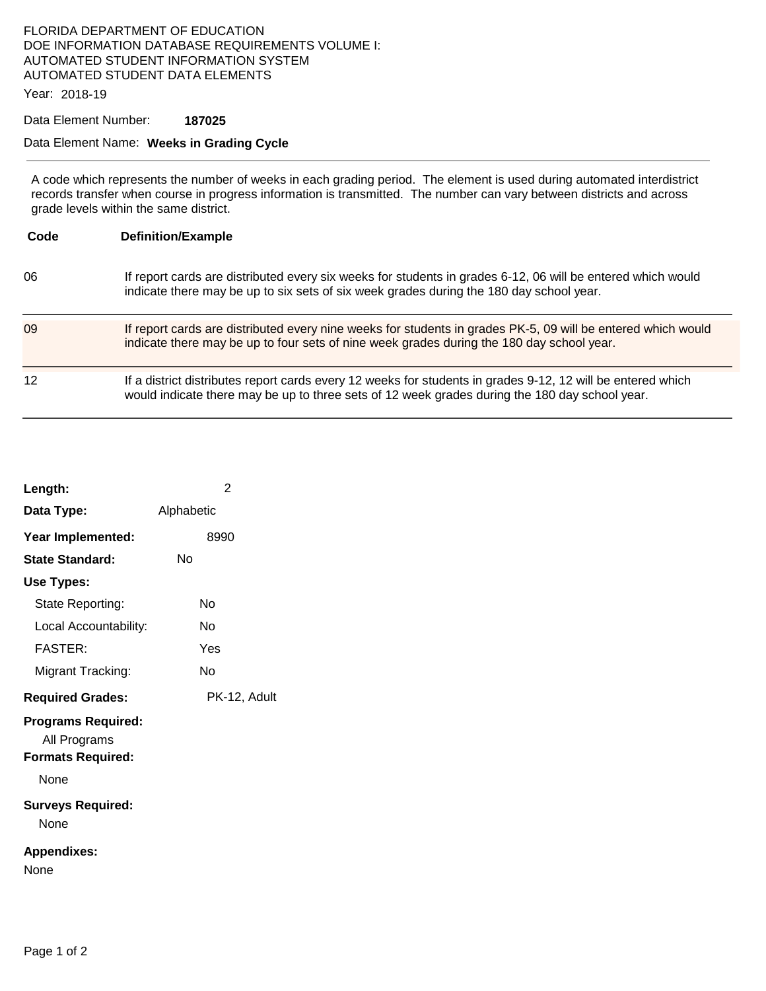## FLORIDA DEPARTMENT OF EDUCATION DOE INFORMATION DATABASE REQUIREMENTS VOLUME I: AUTOMATED STUDENT INFORMATION SYSTEM AUTOMATED STUDENT DATA ELEMENTS

Year: 2018-19

Data Element Number: **187025** 

## Data Element Name: **Weeks in Grading Cycle**

A code which represents the number of weeks in each grading period. The element is used during automated interdistrict records transfer when course in progress information is transmitted. The number can vary between districts and across grade levels within the same district.

| Code | <b>Definition/Example</b>                                                                                                                                                                                     |
|------|---------------------------------------------------------------------------------------------------------------------------------------------------------------------------------------------------------------|
| 06   | If report cards are distributed every six weeks for students in grades 6-12, 06 will be entered which would<br>indicate there may be up to six sets of six week grades during the 180 day school year.        |
| 09   | If report cards are distributed every nine weeks for students in grades PK-5, 09 will be entered which would<br>indicate there may be up to four sets of nine week grades during the 180 day school year.     |
| 12   | If a district distributes report cards every 12 weeks for students in grades 9-12, 12 will be entered which<br>would indicate there may be up to three sets of 12 week grades during the 180 day school year. |

| Length:                                                               | $\overline{2}$ |
|-----------------------------------------------------------------------|----------------|
| Data Type:                                                            | Alphabetic     |
| Year Implemented:                                                     | 8990           |
| State Standard:                                                       | Nο             |
| Use Types:                                                            |                |
| State Reporting:                                                      | N٥             |
| Local Accountability:                                                 | N٥             |
| <b>FASTER:</b>                                                        | Yes            |
| Migrant Tracking:                                                     | N٥             |
| <b>Required Grades:</b>                                               | PK-12, Adult   |
| <b>Programs Required:</b><br>All Programs<br><b>Formats Required:</b> |                |
| <b>None</b>                                                           |                |
| <b>Surveys Required:</b><br>None                                      |                |
| <b>Appendixes:</b><br>None                                            |                |